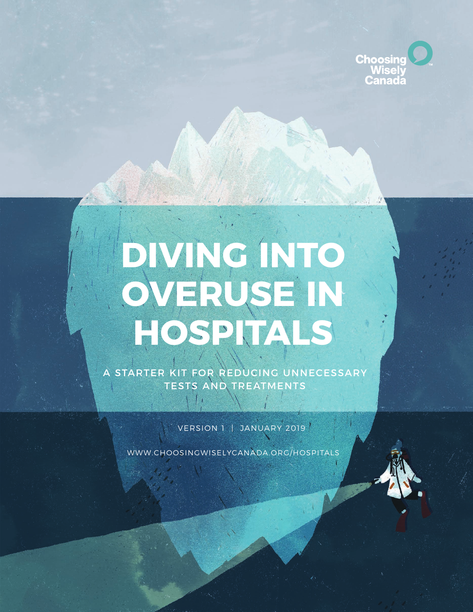

# **DIVING INTO OVERUSE IN HOSPITALS**

A STARTER KIT FOR REDUCING UNNECESSARY TESTS AND TREATMENTS

VERSION 1 | JANUARY 2019<sup>'</sup>

[WWW.CHOOSINGWISELYCANADA.ORG/HOSPITALS](https://choosingwiselycanada.org/campaign/hospitals/)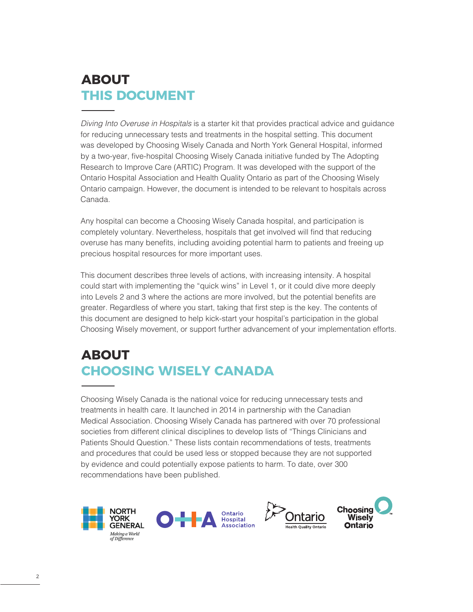### **ABOUT THIS DOCUMENT**

Diving Into Overuse in Hospitals is a starter kit that provides practical advice and guidance for reducing unnecessary tests and treatments in the hospital setting. This document was developed by Choosing Wisely Canada and North York General Hospital, informed by a two-year, five-hospital Choosing Wisely Canada initiative funded by The Adopting Research to Improve Care (ARTIC) Program. It was developed with the support of the Ontario Hospital Association and Health Quality Ontario as part of the Choosing Wisely Ontario campaign. However, the document is intended to be relevant to hospitals across Canada.

Any hospital can become a Choosing Wisely Canada hospital, and participation is completely voluntary. Nevertheless, hospitals that get involved will find that reducing overuse has many benefits, including avoiding potential harm to patients and freeing up precious hospital resources for more important uses.

This document describes three levels of actions, with increasing intensity. A hospital could start with implementing the "quick wins" in Level 1, or it could dive more deeply into Levels 2 and 3 where the actions are more involved, but the potential benefits are greater. Regardless of where you start, taking that first step is the key. The contents of this document are designed to help kick-start your hospital's participation in the global Choosing Wisely movement, or support further advancement of your implementation efforts.

### **ABOUT CHOOSING WISELY CANADA**

Choosing Wisely Canada is the national voice for reducing unnecessary tests and treatments in health care. It launched in 2014 in partnership with the Canadian Medical Association. Choosing Wisely Canada has partnered with over 70 professional societies from different clinical disciplines to develop lists of "Things Clinicians and Patients Should Question." These lists contain recommendations of tests, treatments and procedures that could be used less or stopped because they are not supported by evidence and could potentially expose patients to harm. To date, over 300 recommendations have been published.







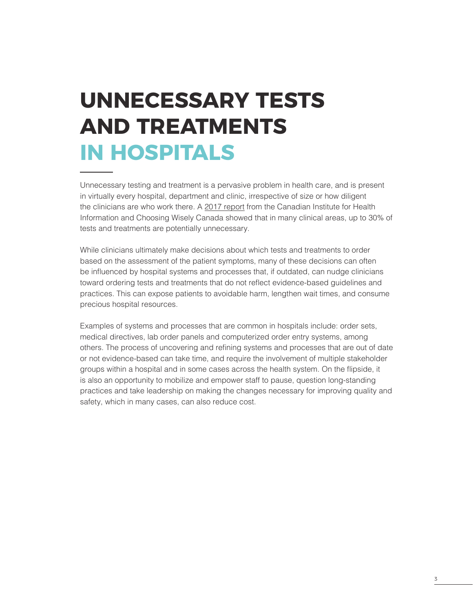## **UNNECESSARY TESTS AND TREATMENTS IN HOSPITALS**

Unnecessary testing and treatment is a pervasive problem in health care, and is present in virtually every hospital, department and clinic, irrespective of size or how diligent the clinicians are who work there. A [2017 report](https://www.cihi.ca/en/unnecessary-care-in-canada) from the Canadian Institute for Health Information and Choosing Wisely Canada showed that in many clinical areas, up to 30% of tests and treatments are potentially unnecessary.

While clinicians ultimately make decisions about which tests and treatments to order based on the assessment of the patient symptoms, many of these decisions can often be influenced by hospital systems and processes that, if outdated, can nudge clinicians toward ordering tests and treatments that do not reflect evidence-based guidelines and practices. This can expose patients to avoidable harm, lengthen wait times, and consume precious hospital resources.

Examples of systems and processes that are common in hospitals include: order sets, medical directives, lab order panels and computerized order entry systems, among others. The process of uncovering and refining systems and processes that are out of date or not evidence-based can take time, and require the involvement of multiple stakeholder groups within a hospital and in some cases across the health system. On the flipside, it is also an opportunity to mobilize and empower staff to pause, question long-standing practices and take leadership on making the changes necessary for improving quality and safety, which in many cases, can also reduce cost.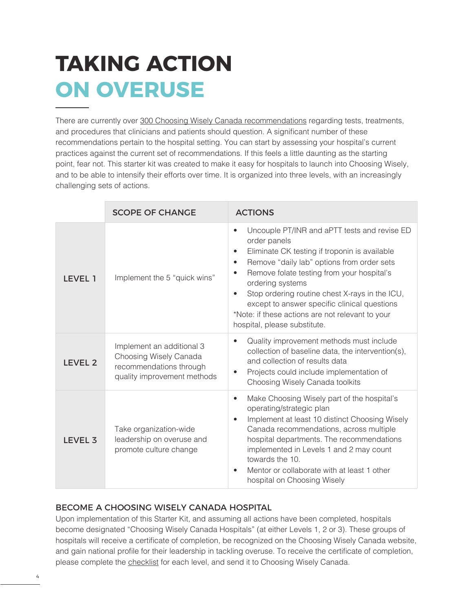## **TAKING ACTION ON OVERUSE**

There are currently over [300 Choosing Wisely Canada recommendations](http://www.choosingwiselycanada.org/recommendations) regarding tests, treatments, and procedures that clinicians and patients should question. A significant number of these recommendations pertain to the hospital setting. You can start by assessing your hospital's current practices against the current set of recommendations. If this feels a little daunting as the starting point, fear not. This starter kit was created to make it easy for hospitals to launch into Choosing Wisely, and to be able to intensify their efforts over time. It is organized into three levels, with an increasingly challenging sets of actions.

|                | <b>SCOPE OF CHANGE</b>                                                                                        | <b>ACTIONS</b>                                                                                                                                                                                                                                                                                                                                                                                                                                                          |
|----------------|---------------------------------------------------------------------------------------------------------------|-------------------------------------------------------------------------------------------------------------------------------------------------------------------------------------------------------------------------------------------------------------------------------------------------------------------------------------------------------------------------------------------------------------------------------------------------------------------------|
| LEVEL 1        | Implement the 5 "quick wins"                                                                                  | Uncouple PT/INR and aPTT tests and revise ED<br>$\bullet$<br>order panels<br>Eliminate CK testing if troponin is available<br>$\bullet$<br>Remove "daily lab" options from order sets<br>$\bullet$<br>Remove folate testing from your hospital's<br>$\bullet$<br>ordering systems<br>Stop ordering routine chest X-rays in the ICU,<br>except to answer specific clinical questions<br>*Note: if these actions are not relevant to your<br>hospital, please substitute. |
| <b>LEVEL 2</b> | Implement an additional 3<br>Choosing Wisely Canada<br>recommendations through<br>quality improvement methods | Quality improvement methods must include<br>collection of baseline data, the intervention(s),<br>and collection of results data<br>Projects could include implementation of<br>Choosing Wisely Canada toolkits                                                                                                                                                                                                                                                          |
| <b>LEVEL 3</b> | Take organization-wide<br>leadership on overuse and<br>promote culture change                                 | Make Choosing Wisely part of the hospital's<br>$\bullet$<br>operating/strategic plan<br>Implement at least 10 distinct Choosing Wisely<br>Canada recommendations, across multiple<br>hospital departments. The recommendations<br>implemented in Levels 1 and 2 may count<br>towards the 10.<br>Mentor or collaborate with at least 1 other<br>hospital on Choosing Wisely                                                                                              |

#### BECOME A CHOOSING WISELY CANADA HOSPITAL

Upon implementation of this Starter Kit, and assuming all actions have been completed, hospitals become designated "Choosing Wisely Canada Hospitals" (at either Levels 1, 2 or 3). These groups of hospitals will receive a certificate of completion, be recognized on the Choosing Wisely Canada website, and gain national profile for their leadership in tackling overuse. To receive the certificate of completion, please complete the [checklist](https://goo.gl/PF6mtu) for each level, and send it to Choosing Wisely Canada.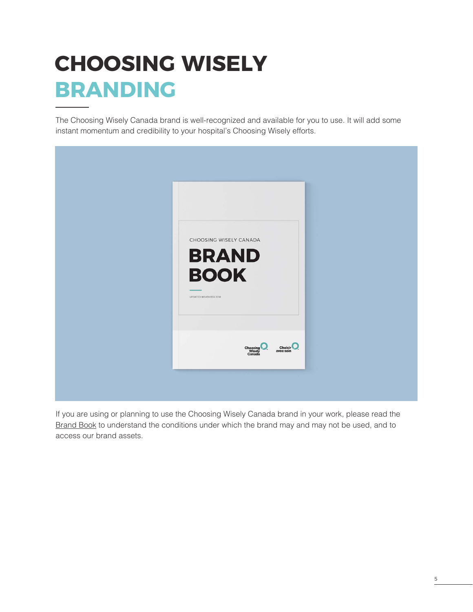## **CHOOSING WISELY BRANDING**

The Choosing Wisely Canada brand is well-recognized and available for you to use. It will add some instant momentum and credibility to your hospital's Choosing Wisely efforts.



If you are using or planning to use the Choosing Wisely Canada brand in your work, please read the [Brand Book](https://choosingwiselycanada.org/wp-content/uploads/2017/02/2015-04-10_CWC-brandbook-04_pages.pdf) to understand the conditions under which the brand may and may not be used, and to access our brand assets.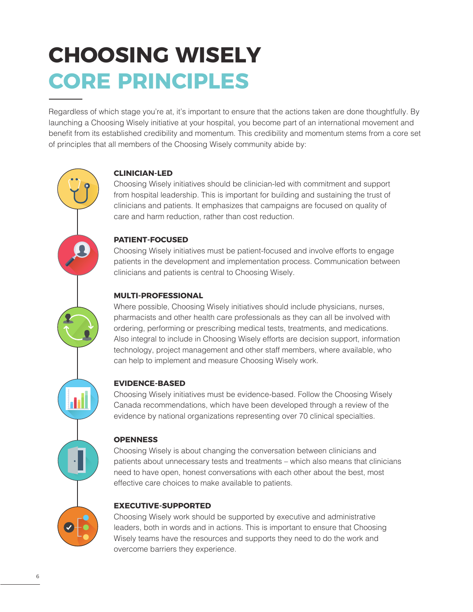## **CHOOSING WISELY CORE PRINCIPLES**

Regardless of which stage you're at, it's important to ensure that the actions taken are done thoughtfully. By launching a Choosing Wisely initiative at your hospital, you become part of an international movement and benefit from its established credibility and momentum. This credibility and momentum stems from a core set of principles that all members of the Choosing Wisely community abide by:

#### **CLINICIAN-LED**

Choosing Wisely initiatives should be clinician-led with commitment and support from hospital leadership. This is important for building and sustaining the trust of clinicians and patients. It emphasizes that campaigns are focused on quality of care and harm reduction, rather than cost reduction.

#### **PATIENT-FOCUSED**

Choosing Wisely initiatives must be patient-focused and involve efforts to engage patients in the development and implementation process. Communication between clinicians and patients is central to Choosing Wisely.

#### **MULTI-PROFESSIONAL**

Where possible, Choosing Wisely initiatives should include physicians, nurses, pharmacists and other health care professionals as they can all be involved with ordering, performing or prescribing medical tests, treatments, and medications. Also integral to include in Choosing Wisely efforts are decision support, information technology, project management and other staff members, where available, who can help to implement and measure Choosing Wisely work.

#### **EVIDENCE-BASED**

Choosing Wisely initiatives must be evidence-based. Follow the Choosing Wisely Canada recommendations, which have been developed through a review of the evidence by national organizations representing over 70 clinical specialties.

#### **OPENNESS**

Choosing Wisely is about changing the conversation between clinicians and patients about unnecessary tests and treatments – which also means that clinicians need to have open, honest conversations with each other about the best, most effective care choices to make available to patients.

#### **EXECUTIVE-SUPPORTED**

Choosing Wisely work should be supported by executive and administrative leaders, both in words and in actions. This is important to ensure that Choosing Wisely teams have the resources and supports they need to do the work and overcome barriers they experience.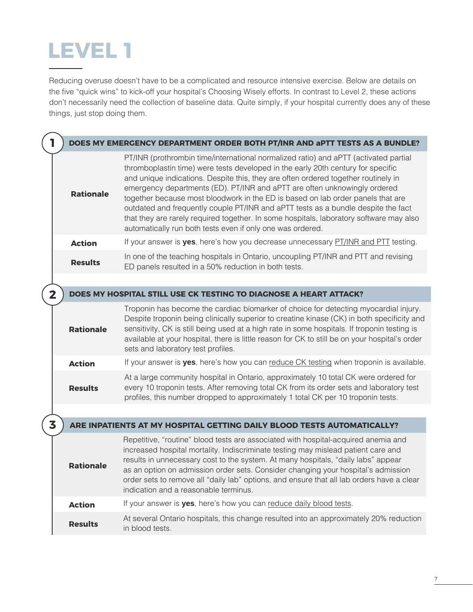### **LEVEL 1**

Reducing overuse doesn't have to be a complicated and resource intensive exercise. Below are details on the five "quick wins" to kick-off your hospital's Choosing Wisely efforts. In contrast to Level 2, these actions don't necessarily need the collection of baseline data. Quite simply, if your hospital currently does any of these things, just stop doing them.

|  | 1              |                  | DOES MY EMERGENCY DEPARTMENT ORDER BOTH PT/INR AND aPTT TESTS AS A BUNDLE?                                                                                                                                                                                                                                                                                                                                                                                                                                                                                                                                                                                                   |
|--|----------------|------------------|------------------------------------------------------------------------------------------------------------------------------------------------------------------------------------------------------------------------------------------------------------------------------------------------------------------------------------------------------------------------------------------------------------------------------------------------------------------------------------------------------------------------------------------------------------------------------------------------------------------------------------------------------------------------------|
|  |                | <b>Rationale</b> | PT/INR (prothrombin time/international normalized ratio) and aPTT (activated partial<br>thromboplastin time) were tests developed in the early 20th century for specific<br>and unique indications. Despite this, they are often ordered together routinely in<br>emergency departments (ED). PT/INR and aPTT are often unknowingly ordered<br>together because most bloodwork in the ED is based on lab order panels that are<br>outdated and frequently couple PT/INR and aPTT tests as a bundle despite the fact<br>that they are rarely required together. In some hospitals, laboratory software may also<br>automatically run both tests even if only one was ordered. |
|  |                | <b>Action</b>    | If your answer is yes, here's how you decrease unnecessary PT/INR and PTT testing.                                                                                                                                                                                                                                                                                                                                                                                                                                                                                                                                                                                           |
|  |                | <b>Results</b>   | In one of the teaching hospitals in Ontario, uncoupling PT/INR and PTT and revising<br>ED panels resulted in a 50% reduction in both tests.                                                                                                                                                                                                                                                                                                                                                                                                                                                                                                                                  |
|  |                |                  |                                                                                                                                                                                                                                                                                                                                                                                                                                                                                                                                                                                                                                                                              |
|  | $\overline{2}$ |                  | DOES MY HOSPITAL STILL USE CK TESTING TO DIAGNOSE A HEART ATTACK?                                                                                                                                                                                                                                                                                                                                                                                                                                                                                                                                                                                                            |
|  |                | <b>Rationale</b> | Troponin has become the cardiac biomarker of choice for detecting myocardial injury.<br>Despite troponin being clinically superior to creatine kinase (CK) in both specificity and<br>sensitivity, CK is still being used at a high rate in some hospitals. If troponin testing is<br>available at your hospital, there is little reason for CK to still be on your hospital's order<br>sets and laboratory test profiles.                                                                                                                                                                                                                                                   |
|  |                | <b>Action</b>    | If your answer is yes, here's how you can reduce CK testing when troponin is available.                                                                                                                                                                                                                                                                                                                                                                                                                                                                                                                                                                                      |
|  |                | <b>Results</b>   | At a large community hospital in Ontario, approximately 10 total CK were ordered for<br>every 10 troponin tests. After removing total CK from its order sets and laboratory test<br>profiles, this number dropped to approximately 1 total CK per 10 troponin tests.                                                                                                                                                                                                                                                                                                                                                                                                         |
|  |                |                  |                                                                                                                                                                                                                                                                                                                                                                                                                                                                                                                                                                                                                                                                              |
|  | 3              |                  | ARE INPATIENTS AT MY HOSPITAL GETTING DAILY BLOOD TESTS AUTOMATICALLY?                                                                                                                                                                                                                                                                                                                                                                                                                                                                                                                                                                                                       |
|  |                | <b>Rationale</b> | Repetitive, "routine" blood tests are associated with hospital-acquired anemia and<br>increased hospital mortality. Indiscriminate testing may mislead patient care and<br>results in unnecessary cost to the system. At many hospitals, "daily labs" appear<br>as an option on admission order sets. Consider changing your hospital's admission<br>order sets to remove all "daily lab" options, and ensure that all lab orders have a clear<br>indication and a reasonable terminus.                                                                                                                                                                                      |
|  |                | <b>Action</b>    | If your answer is yes, here's how you can reduce daily blood tests.                                                                                                                                                                                                                                                                                                                                                                                                                                                                                                                                                                                                          |
|  |                | <b>Results</b>   | At several Ontario hospitals, this change resulted into an approximately 20% reduction<br>in blood tests.                                                                                                                                                                                                                                                                                                                                                                                                                                                                                                                                                                    |
|  |                |                  |                                                                                                                                                                                                                                                                                                                                                                                                                                                                                                                                                                                                                                                                              |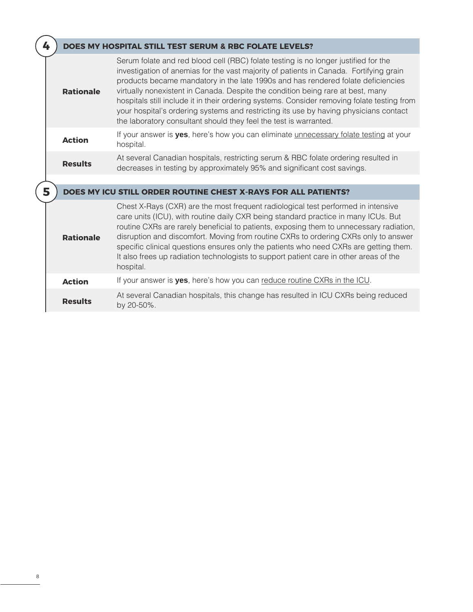| 4 |                  | <b>DOES MY HOSPITAL STILL TEST SERUM &amp; RBC FOLATE LEVELS?</b>                                                                                                                                                                                                                                                                                                                                                                                                                                                                                                                                                 |
|---|------------------|-------------------------------------------------------------------------------------------------------------------------------------------------------------------------------------------------------------------------------------------------------------------------------------------------------------------------------------------------------------------------------------------------------------------------------------------------------------------------------------------------------------------------------------------------------------------------------------------------------------------|
|   | <b>Rationale</b> | Serum folate and red blood cell (RBC) folate testing is no longer justified for the<br>investigation of anemias for the vast majority of patients in Canada. Fortifying grain<br>products became mandatory in the late 1990s and has rendered folate deficiencies<br>virtually nonexistent in Canada. Despite the condition being rare at best, many<br>hospitals still include it in their ordering systems. Consider removing folate testing from<br>your hospital's ordering systems and restricting its use by having physicians contact<br>the laboratory consultant should they feel the test is warranted. |
|   | <b>Action</b>    | If your answer is yes, here's how you can eliminate unnecessary folate testing at your<br>hospital.                                                                                                                                                                                                                                                                                                                                                                                                                                                                                                               |
|   | <b>Results</b>   | At several Canadian hospitals, restricting serum & RBC folate ordering resulted in<br>decreases in testing by approximately 95% and significant cost savings.                                                                                                                                                                                                                                                                                                                                                                                                                                                     |
|   |                  |                                                                                                                                                                                                                                                                                                                                                                                                                                                                                                                                                                                                                   |
| 5 |                  | DOES MY ICU STILL ORDER ROUTINE CHEST X-RAYS FOR ALL PATIENTS?                                                                                                                                                                                                                                                                                                                                                                                                                                                                                                                                                    |
|   | <b>Rationale</b> | Chest X-Rays (CXR) are the most frequent radiological test performed in intensive<br>care units (ICU), with routine daily CXR being standard practice in many ICUs. But<br>routine CXRs are rarely beneficial to patients, exposing them to unnecessary radiation,<br>disruption and discomfort. Moving from routine CXRs to ordering CXRs only to answer<br>specific clinical questions ensures only the patients who need CXRs are getting them.<br>It also frees up radiation technologists to support patient care in other areas of the<br>hospital.                                                         |
|   | <b>Action</b>    | If your answer is yes, here's how you can reduce routine CXRs in the ICU.                                                                                                                                                                                                                                                                                                                                                                                                                                                                                                                                         |
|   | <b>Results</b>   | At several Canadian hospitals, this change has resulted in ICU CXRs being reduced<br>by 20-50%.                                                                                                                                                                                                                                                                                                                                                                                                                                                                                                                   |
|   |                  |                                                                                                                                                                                                                                                                                                                                                                                                                                                                                                                                                                                                                   |

 $\big($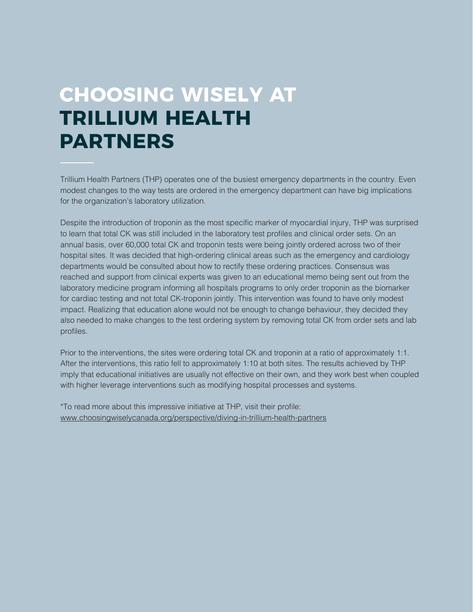### **CHOOSING WISELY AT TRILLIUM HEALTH PARTNERS**

Trillium Health Partners (THP) operates one of the busiest emergency departments in the country. Even modest changes to the way tests are ordered in the emergency department can have big implications for the organization's laboratory utilization.

Despite the introduction of troponin as the most specific marker of myocardial injury, THP was surprised to learn that total CK was still included in the laboratory test profiles and clinical order sets. On an annual basis, over 60,000 total CK and troponin tests were being jointly ordered across two of their hospital sites. It was decided that high-ordering clinical areas such as the emergency and cardiology departments would be consulted about how to rectify these ordering practices. Consensus was reached and support from clinical experts was given to an educational memo being sent out from the laboratory medicine program informing all hospitals programs to only order troponin as the biomarker for cardiac testing and not total CK-troponin jointly. This intervention was found to have only modest impact. Realizing that education alone would not be enough to change behaviour, they decided they also needed to make changes to the test ordering system by removing total CK from order sets and lab profiles.

Prior to the interventions, the sites were ordering total CK and troponin at a ratio of approximately 1:1. After the interventions, this ratio fell to approximately 1:10 at both sites. The results achieved by THP imply that educational initiatives are usually not effective on their own, and they work best when coupled with higher leverage interventions such as modifying hospital processes and systems.

\*To read more about this impressive initiative at THP, visit their profile: [www.choosingwiselycanada.org/perspective/diving-in-trillium-health-partners](https://choosingwiselycanada.org/perspective/diving-in-trillium-health-partners/)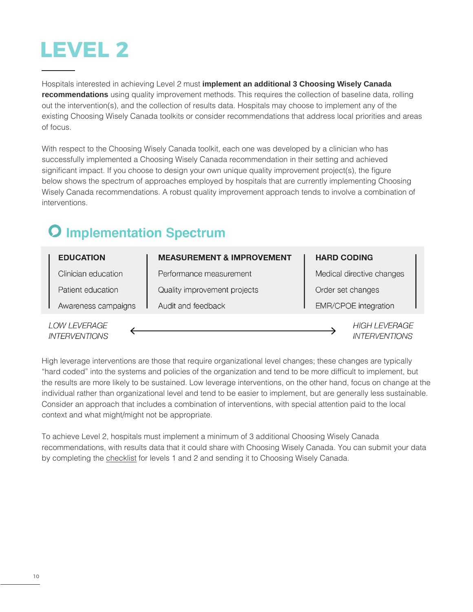

Hospitals interested in achieving Level 2 must **implement an additional 3 Choosing Wisely Canada recommendations** using quality improvement methods. This requires the collection of baseline data, rolling out the intervention(s), and the collection of results data. Hospitals may choose to implement any of the existing Choosing Wisely Canada toolkits or consider recommendations that address local priorities and areas of focus.

With respect to the Choosing Wisely Canada toolkit, each one was developed by a clinician who has successfully implemented a Choosing Wisely Canada recommendation in their setting and achieved significant impact. If you choose to design your own unique quality improvement project(s), the figure below shows the spectrum of approaches employed by hospitals that are currently implementing Choosing Wisely Canada recommendations. A robust quality improvement approach tends to involve a combination of interventions.

### **O** Implementation Spectrum

|                                      | <b>EDUCATION</b>    | <b>MEASUREMENT &amp; IMPROVEMENT</b> | <b>HARD CODING</b>          |                                              |  |
|--------------------------------------|---------------------|--------------------------------------|-----------------------------|----------------------------------------------|--|
|                                      | Clinician education | Performance measurement              | Medical directive changes   |                                              |  |
|                                      | Patient education   | Quality improvement projects         | Order set changes           |                                              |  |
|                                      | Awareness campaigns | Audit and feedback                   | <b>EMR/CPOE</b> integration |                                              |  |
| LOW LEVERAGE<br><b>INTERVENTIONS</b> |                     |                                      |                             | <b>HIGH LEVERAGE</b><br><b>INTERVENTIONS</b> |  |

**INTERVENTIONS** 

High leverage interventions are those that require organizational level changes; these changes are typically "hard coded" into the systems and policies of the organization and tend to be more difficult to implement, but the results are more likely to be sustained. Low leverage interventions, on the other hand, focus on change at the individual rather than organizational level and tend to be easier to implement, but are generally less sustainable. Consider an approach that includes a combination of interventions, with special attention paid to the local context and what might/might not be appropriate.

To achieve Level 2, hospitals must implement a minimum of 3 additional Choosing Wisely Canada recommendations, with results data that it could share with Choosing Wisely Canada. You can submit your data by completing the [checklist](https://goo.gl/PF6mtu) for levels 1 and 2 and sending it to Choosing Wisely Canada.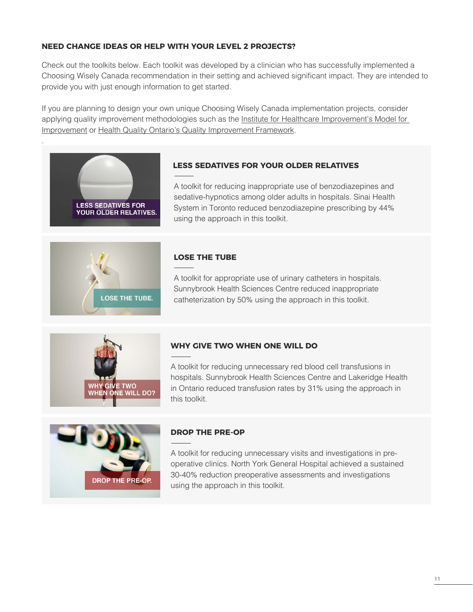#### **NEED CHANGE IDEAS OR HELP WITH YOUR LEVEL 2 PROJECTS?**

Check out the toolkits below. Each toolkit was developed by a clinician who has successfully implemented a Choosing Wisely Canada recommendation in their setting and achieved significant impact. They are intended to provide you with just enough information to get started.

If you are planning to design your own unique Choosing Wisely Canada implementation projects, consider applying quality improvement methodologies such as the [Institute for Healthcare Improvement's Model for](http://www.ihi.org/resources/Pages/HowtoImprove/)  [Improvement](http://www.ihi.org/resources/Pages/HowtoImprove/) or [Health Quality Ontario's Quality Improvement Framework](http://qualitycompass.hqontario.ca/portal/getting-started).



.

#### **[LESS SEDATIVES FOR YOUR OLDER RELATIVES](https://choosingwiselycanada.org/perspective/benzos-hospital-toolkit/)**

[A toolkit for reducing inappropriate use of benzodiazepines and](https://choosingwiselycanada.org/perspective/benzos-hospital-toolkit/)  [sedative-hypnotics among older adults in hospitals. Sinai Health](https://choosingwiselycanada.org/perspective/benzos-hospital-toolkit/)  [System in Toronto reduced benzodiazepine prescribing by 44%](https://choosingwiselycanada.org/perspective/benzos-hospital-toolkit/)  [using the approach in this toolkit.](https://choosingwiselycanada.org/perspective/benzos-hospital-toolkit/)



#### **[LOSE THE TUBE](https://choosingwiselycanada.org/perspective/toolkit-urinary-catheters-hospitals/)**

[A toolkit for appropriate use of urinary catheters in hospitals.](https://choosingwiselycanada.org/perspective/toolkit-urinary-catheters-hospitals/)  [Sunnybrook Health Sciences Centre reduced inappropriate](https://choosingwiselycanada.org/perspective/toolkit-urinary-catheters-hospitals/)  [catheterization by 50% using the approach in this toolkit.](https://choosingwiselycanada.org/perspective/toolkit-urinary-catheters-hospitals/)



#### **[WHY GIVE TWO WHEN ONE WILL DO](https://choosingwiselycanada.org/perspective/transfusion-toolkit/)**

[A toolkit for reducing unnecessary red blood cell transfusions in](https://choosingwiselycanada.org/perspective/transfusion-toolkit/)  [hospitals. Sunnybrook Health Sciences Centre and Lakeridge Health](https://choosingwiselycanada.org/perspective/transfusion-toolkit/)  [in Ontario reduced transfusion rates by 31% using the approach in](https://choosingwiselycanada.org/perspective/transfusion-toolkit/)  [this toolkit.](https://choosingwiselycanada.org/perspective/transfusion-toolkit/)



#### **[DROP THE PRE-OP](https://choosingwiselycanada.org/perspective/preop-toolkit/)**

[A toolkit for reducing unnecessary visits and investigations in pre](https://choosingwiselycanada.org/perspective/preop-toolkit/)[operative clinics. North York General Hospital achieved a sustained](https://choosingwiselycanada.org/perspective/preop-toolkit/)  [30-40% reduction preoperative assessments and investigations](https://choosingwiselycanada.org/perspective/preop-toolkit/)  [using the approach in this toolkit.](https://choosingwiselycanada.org/perspective/preop-toolkit/)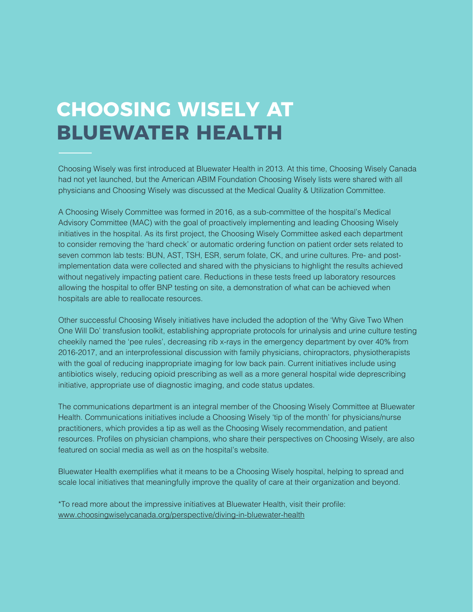### **CHOOSING WISELY AT BLUEWATER HEALTH**

Choosing Wisely was first introduced at Bluewater Health in 2013. At this time, Choosing Wisely Canada had not yet launched, but the American ABIM Foundation Choosing Wisely lists were shared with all physicians and Choosing Wisely was discussed at the Medical Quality & Utilization Committee.

A Choosing Wisely Committee was formed in 2016, as a sub-committee of the hospital's Medical Advisory Committee (MAC) with the goal of proactively implementing and leading Choosing Wisely initiatives in the hospital. As its first project, the Choosing Wisely Committee asked each department to consider removing the 'hard check' or automatic ordering function on patient order sets related to seven common lab tests: BUN, AST, TSH, ESR, serum folate, CK, and urine cultures. Pre- and postimplementation data were collected and shared with the physicians to highlight the results achieved without negatively impacting patient care. Reductions in these tests freed up laboratory resources allowing the hospital to offer BNP testing on site, a demonstration of what can be achieved when hospitals are able to reallocate resources.

Other successful Choosing Wisely initiatives have included the adoption of the 'Why Give Two When One Will Do' transfusion toolkit, establishing appropriate protocols for urinalysis and urine culture testing cheekily named the 'pee rules', decreasing rib x-rays in the emergency department by over 40% from 2016-2017, and an interprofessional discussion with family physicians, chiropractors, physiotherapists with the goal of reducing inappropriate imaging for low back pain. Current initiatives include using antibiotics wisely, reducing opioid prescribing as well as a more general hospital wide deprescribing initiative, appropriate use of diagnostic imaging, and code status updates.

The communications department is an integral member of the Choosing Wisely Committee at Bluewater Health. Communications initiatives include a Choosing Wisely 'tip of the month' for physicians/nurse practitioners, which provides a tip as well as the Choosing Wisely recommendation, and patient resources. Profiles on physician champions, who share their perspectives on Choosing Wisely, are also featured on social media as well as on the hospital's website.

Bluewater Health exemplifies what it means to be a Choosing Wisely hospital, helping to spread and scale local initiatives that meaningfully improve the quality of care at their organization and beyond.

\*To read more about the impressive initiatives at Bluewater Health, visit their profile: [www.choosingwiselycanada.org/perspective/diving-in-bluewater-health](https://choosingwiselycanada.org/perspective/diving-in-bluewater-health)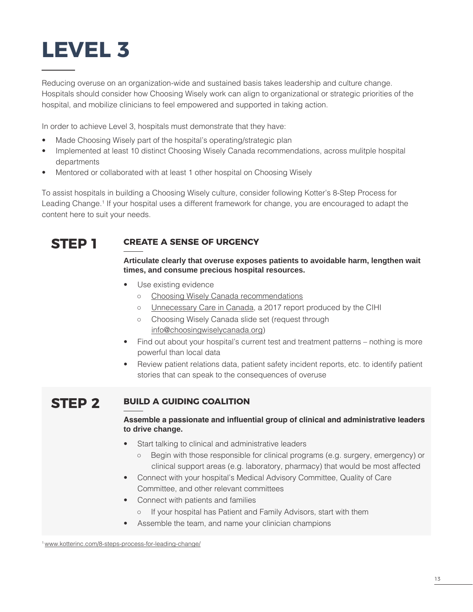

Reducing overuse on an organization-wide and sustained basis takes leadership and culture change. Hospitals should consider how Choosing Wisely work can align to organizational or strategic priorities of the hospital, and mobilize clinicians to feel empowered and supported in taking action.

In order to achieve Level 3, hospitals must demonstrate that they have:

- Made Choosing Wisely part of the hospital's operating/strategic plan
- Implemented at least 10 distinct Choosing Wisely Canada recommendations, across mulitple hospital departments
- Mentored or collaborated with at least 1 other hospital on Choosing Wisely

To assist hospitals in building a Choosing Wisely culture, consider following Kotter's 8-Step Process for Leading Change.<sup>1</sup> If your hospital uses a different framework for change, you are encouraged to adapt the content here to suit your needs.



#### **STEP 1 CREATE A SENSE OF URGENCY**

#### **Articulate clearly that overuse exposes patients to avoidable harm, lengthen wait times, and consume precious hospital resources.**

- Use existing evidence
	- [Choosing Wisely Canada recommendations](http://www.choosingwiselycanada.org/recommendations)
	- [Unnecessary Care in Canada](https://www.cihi.ca/en/unnecessary-care-in-canada), a 2017 report produced by the CIHI
	- Choosing Wisely Canada slide set (request through [info@choosingwiselycanada.org](mailto:info%40choosingwiselycanada.org))
- Find out about your hospital's current test and treatment patterns nothing is more powerful than local data
- Review patient relations data, patient safety incident reports, etc. to identify patient stories that can speak to the consequences of overuse

#### **STEP 2 BUILD A GUIDING COALITION**

#### **Assemble a passionate and influential group of clinical and administrative leaders to drive change.**

- Start talking to clinical and administrative leaders
	- Begin with those responsible for clinical programs (e.g. surgery, emergency) or clinical support areas (e.g. laboratory, pharmacy) that would be most affected
- Connect with your hospital's Medical Advisory Committee, Quality of Care Committee, and other relevant committees
- Connect with patients and families
	- If your hospital has Patient and Family Advisors, start with them
- Assemble the team, and name your clinician champions

<sup>1</sup>[www.kotterinc.com/8-steps-process-for-leading-change/](https://www.kotterinc.com/8-steps-process-for-leading-change/)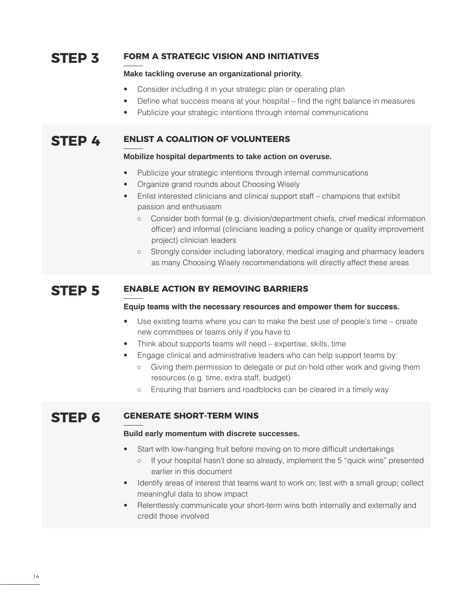#### **STEP 3 FORM A STRATEGIC VISION AND INITIATIVES**

#### **Make tackling overuse an organizational priority.**

- Consider including it in your strategic plan or operating plan
- Define what success means at your hospital find the right balance in measures
- Publicize your strategic intentions through internal communications

#### **STEP 4 ENLIST A COALITION OF VOLUNTEERS**

#### **Mobilize hospital departments to take action on overuse.**

- Publicize your strategic intentions through internal communications
- Organize grand rounds about Choosing Wisely
- Enlist interested clinicians and clinical support staff champions that exhibit passion and enthusiasm
	- Consider both formal (e.g. division/department chiefs, chief medical information officer) and informal (clinicians leading a policy change or quality improvement project) clinician leaders
	- Strongly consider including laboratory, medical imaging and pharmacy leaders as many Choosing Wisely recommendations will directly affect these areas

#### **STEP 5 ENABLE ACTION BY REMOVING BARRIERS**

#### **Equip teams with the necessary resources and empower them for success.**

- Use existing teams where you can to make the best use of people's time create new committees or teams only if you have to
- Think about supports teams will need expertise, skills, time
- Engage clinical and administrative leaders who can help support teams by:
	- Giving them permission to delegate or put on hold other work and giving them resources (e.g. time, extra staff, budget)
	- Ensuring that barriers and roadblocks can be cleared in a timely way

#### **STEP 6 GENERATE SHORT-TERM WINS**

#### **Build early momentum with discrete successes.**

- Start with low-hanging fruit before moving on to more difficult undertakings
	- If your hospital hasn't done so already, implement the 5 "quick wins" presented earlier in this document
- Identify areas of interest that teams want to work on; test with a small group; collect meaningful data to show impact
- Relentlessly communicate your short-term wins both internally and externally and credit those involved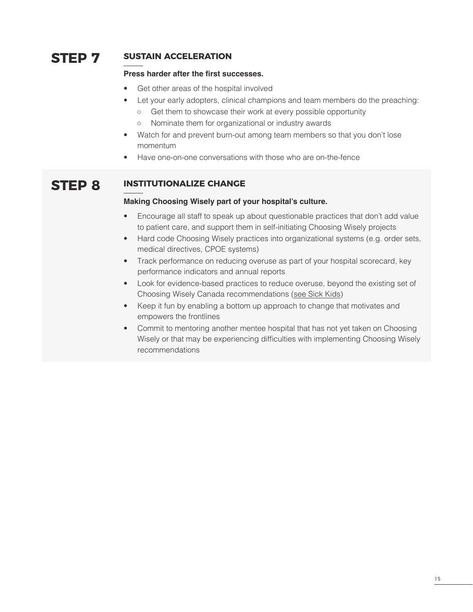#### **STEP 7 SUSTAIN ACCELERATION**

#### **Press harder after the first successes.**

- Get other areas of the hospital involved
- Let your early adopters, clinical champions and team members do the preaching:
	- Get them to showcase their work at every possible opportunity
	- Nominate them for organizational or industry awards
- Watch for and prevent burn-out among team members so that you don't lose momentum
- Have one-on-one conversations with those who are on-the-fence

#### **STEP 8 INSTITUTIONALIZE CHANGE**

#### **Making Choosing Wisely part of your hospital's culture.**

- Encourage all staff to speak up about questionable practices that don't add value to patient care, and support them in self-initiating Choosing Wisely projects
- Hard code Choosing Wisely practices into organizational systems (e.g. order sets, medical directives, CPOE systems)
- Track performance on reducing overuse as part of your hospital scorecard, key performance indicators and annual reports
- Look for evidence-based practices to reduce overuse, beyond the existing set of Choosing Wisely Canada recommendations ([see Sick Kids\)](http://www.sickkids.ca/AboutSickKids/perspective/staff-volunteer/choosing-wisely.html)
- Keep it fun by enabling a bottom up approach to change that motivates and empowers the frontlines
- Commit to mentoring another mentee hospital that has not yet taken on Choosing Wisely or that may be experiencing difficulties with implementing Choosing Wisely recommendations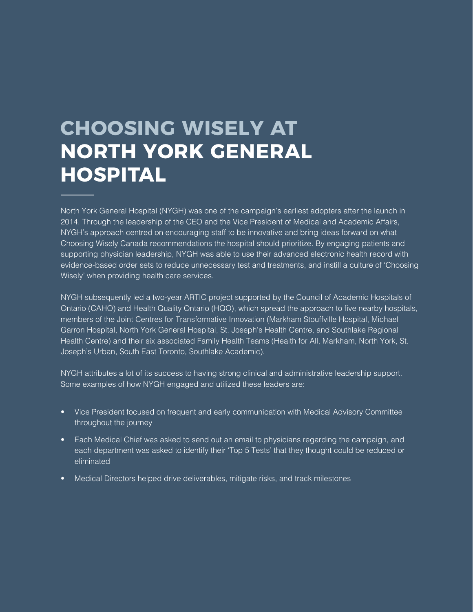### **CHOOSING WISELY AT NORTH YORK GENERAL HOSPITAL**

North York General Hospital (NYGH) was one of the campaign's earliest adopters after the launch in 2014. Through the leadership of the CEO and the Vice President of Medical and Academic Affairs, NYGH's approach centred on encouraging staff to be innovative and bring ideas forward on what Choosing Wisely Canada recommendations the hospital should prioritize. By engaging patients and supporting physician leadership, NYGH was able to use their advanced electronic health record with evidence-based order sets to reduce unnecessary test and treatments, and instill a culture of 'Choosing Wisely' when providing health care services.

NYGH subsequently led a two-year ARTIC project supported by the Council of Academic Hospitals of Ontario (CAHO) and Health Quality Ontario (HQO), which spread the approach to five nearby hospitals, members of the Joint Centres for Transformative Innovation (Markham Stouffville Hospital, Michael Garron Hospital, North York General Hospital, St. Joseph's Health Centre, and Southlake Regional Health Centre) and their six associated Family Health Teams (Health for All, Markham, North York, St. Joseph's Urban, South East Toronto, Southlake Academic).

NYGH attributes a lot of its success to having strong clinical and administrative leadership support. Some examples of how NYGH engaged and utilized these leaders are:

- Vice President focused on frequent and early communication with Medical Advisory Committee throughout the journey
- Each Medical Chief was asked to send out an email to physicians regarding the campaign, and each department was asked to identify their 'Top 5 Tests' that they thought could be reduced or eliminated
- Medical Directors helped drive deliverables, mitigate risks, and track milestones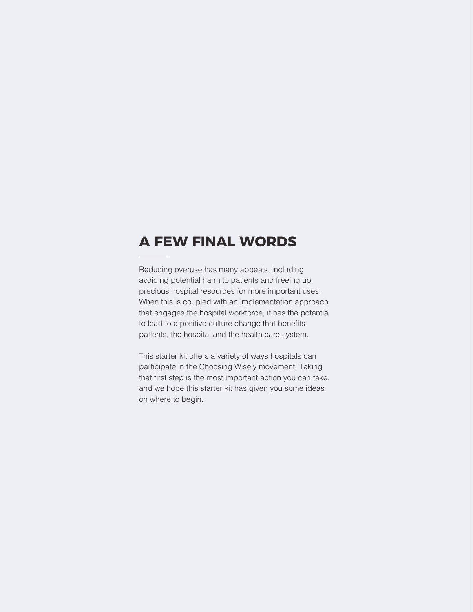### **A FEW FINAL WORDS**

Reducing overuse has many appeals, including avoiding potential harm to patients and freeing up precious hospital resources for more important uses. When this is coupled with an implementation approach that engages the hospital workforce, it has the potential to lead to a positive culture change that benefits patients, the hospital and the health care system.

This starter kit offers a variety of ways hospitals can participate in the Choosing Wisely movement. Taking that first step is the most important action you can take, and we hope this starter kit has given you some ideas on where to begin.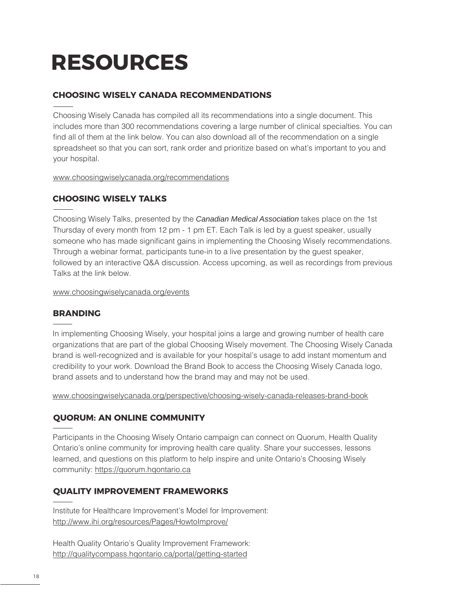## **RESOURCES**

#### **CHOOSING WISELY CANADA RECOMMENDATIONS**

Choosing Wisely Canada has compiled all its recommendations into a single document. This includes more than 300 recommendations covering a large number of clinical specialties. You can find all of them at the link below. You can also download all of the recommendation on a single spreadsheet so that you can sort, rank order and prioritize based on what's important to you and your hospital.

[www.choosingwiselycanada.org/recommendations](https://choosingwiselycanada.org/recommendations)

#### **CHOOSING WISELY TALKS**

Choosing Wisely Talks, presented by the *Canadian Medical Association* takes place on the 1st Thursday of every month from 12 pm - 1 pm ET. Each Talk is led by a guest speaker, usually someone who has made significant gains in implementing the Choosing Wisely recommendations. Through a webinar format, participants tune-in to a live presentation by the guest speaker, followed by an interactive Q&A discussion. Access upcoming, as well as recordings from previous Talks at the link below.

www.choosingwiselycanada.org/events

#### **BRANDING**

In implementing Choosing Wisely, your hospital joins a large and growing number of health care organizations that are part of the global Choosing Wisely movement. The Choosing Wisely Canada brand is well-recognized and is available for your hospital's usage to add instant momentum and credibility to your work. Download the Brand Book to access the Choosing Wisely Canada logo, brand assets and to understand how the brand may and may not be used.

www.choosingwiselycanada.org/perspective/choosing-wisely-canada-releases-brand-book

#### **QUORUM: AN ONLINE COMMUNITY**

Participants in the Choosing Wisely Ontario campaign can connect on Quorum, Health Quality Ontario's online community for improving health care quality. Share your successes, lessons learned, and questions on this platform to help inspire and unite Ontario's Choosing Wisely community: <https://quorum.hqontario.ca>

#### **QUALITY IMPROVEMENT FRAMEWORKS**

Institute for Healthcare Improvement's Model for Improvement: http://www.ihi.org/resources/Pages/HowtoImprove/

Health Quality Ontario's Quality Improvement Framework: http://qualitycompass.hqontario.ca/portal/getting-started